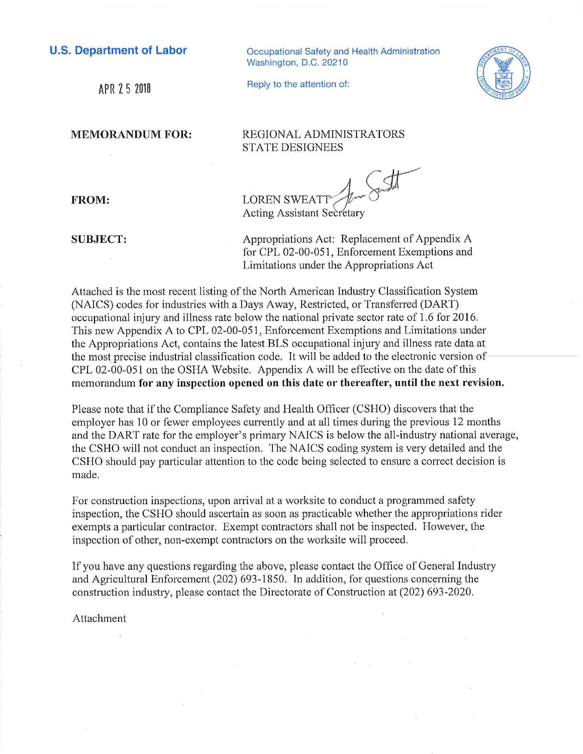## **U.S. Department of Labor**

APR 2 5 2018

Occupational Safety and Health Administration Washington, D.C. 20210

**MEMORANDUM FOR:** 

Reply to the attention of:



REGIONAL ADMINISTRATORS STATE DESIGNEES

**LOREN SWEATI** 

Acting Assistant Secretary

**SUBJECT:** 

**FROM:** 

Appropriations Act: Replacement of Appendix A for CPL 02-00-051, Enforcement Exemptions and Limitations under the Appropriations Act

Attached is the most recent listing of the North American Industry Classification System (NAICS) codes for industries with a Days Away, Restricted, or Transferred (DART) occupational injury and illness rate below the national private sector rate of 1.6 for 2016. This new Appendix A to CPL 02-00-051, Enforcement Exemptions and Limitations under the Appropriations Act, contains the latest BLS occupational injury and illness rate data at the most precise industrial classification code. It will be added to the electronic version of CPL 02-00-051 on the OSHA Website. Appendix A will be effective on the date of this memorandum **for any inspection opened on this date or thereafter, until the next revision.** 

Please note that if the Compliance Safety and Health Officer (CSHO) discovers that the employer has 10 or fewer employees currently and at all times during the previous 12 months and the DART rate for the employer's primary NAICS is below the all-industry national average, the CSHO will not conduct an inspection. The NAICS coding system is very detailed and the CSHO should pay particular attention to the code being selected to ensure a correct decision is made.

For construction inspections, upon arrival at a worksite to conduct a programmed safety inspection, the CSHO should ascertain as soon as practicable whether the appropriations rider exempts a particular contractor. Exempt contractors shall not be inspected. However, the inspection of other, non-exempt contractors on the worksite will proceed.

If you have any questions regarding the above, please contact the Office of General Industry and Agricultural Enforcement (202) 693-1850. In addition, for questions concerning the construction industry, please contact the Directorate of Construction at (202) 693-2020.

Attachment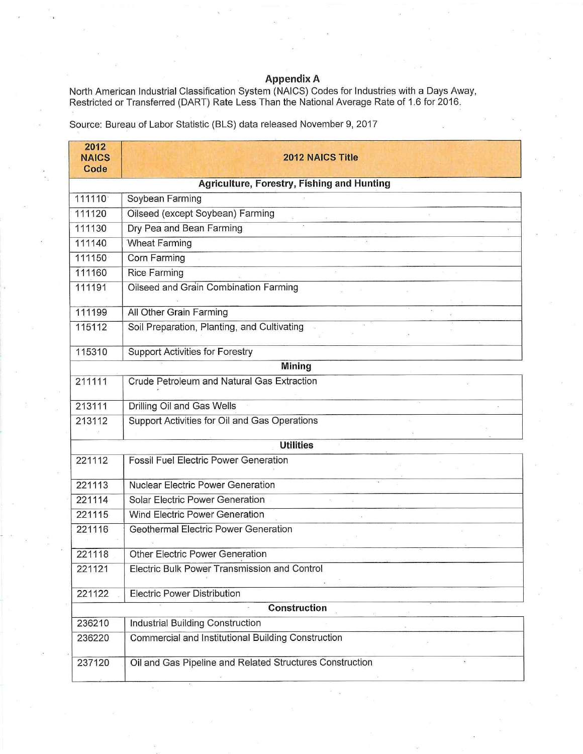## **Appendix A**

North American Industrial Classification System (NAICS) Codes for lndustrie~ with a Days Away, Restricted or Transferred (DART) Rate Less Than the National Average Rate of 1.6 for 2016.

Source: Bureau of Labor Statistic (BLS) data released November 9, 2017

| 2012<br><b>NAICS</b><br>Code | <b>2012 NAICS Title</b>                                                                                                                                                                                                                                                                                                                                                                                                                                                                                                        |
|------------------------------|--------------------------------------------------------------------------------------------------------------------------------------------------------------------------------------------------------------------------------------------------------------------------------------------------------------------------------------------------------------------------------------------------------------------------------------------------------------------------------------------------------------------------------|
|                              | Agriculture, Forestry, Fishing and Hunting                                                                                                                                                                                                                                                                                                                                                                                                                                                                                     |
| 111110                       | Soybean Farming                                                                                                                                                                                                                                                                                                                                                                                                                                                                                                                |
| 111120                       | Oilseed (except Soybean) Farming<br>$\begin{array}{c} \mathbf{S} \\ \begin{tabular}{c} \multicolumn{2}{c}{} & \multicolumn{2}{c}{} \\ \multicolumn{2}{c}{} & \multicolumn{2}{c}{} \\ \multicolumn{2}{c}{} & \multicolumn{2}{c}{} \\ \multicolumn{2}{c}{} & \multicolumn{2}{c}{} \\ \multicolumn{2}{c}{} & \multicolumn{2}{c}{} \\ \multicolumn{2}{c}{} & \multicolumn{2}{c}{} \\ \multicolumn{2}{c}{} & \multicolumn{2}{c}{} \\ \multicolumn{2}{c}{} & \multicolumn{2}{c}{} \\ \multicolumn{2}{c}{} & \multicolumn{2}{c}{} \\$ |
| 111130                       | Dry Pea and Bean Farming                                                                                                                                                                                                                                                                                                                                                                                                                                                                                                       |
| 111140                       | <b>Wheat Farming</b>                                                                                                                                                                                                                                                                                                                                                                                                                                                                                                           |
| 111150                       | Corn Farming                                                                                                                                                                                                                                                                                                                                                                                                                                                                                                                   |
| 111160                       | <b>Rice Farming</b>                                                                                                                                                                                                                                                                                                                                                                                                                                                                                                            |
| 111191                       | Oilseed and Grain Combination Farming                                                                                                                                                                                                                                                                                                                                                                                                                                                                                          |
| 111199                       | All Other Grain Farming                                                                                                                                                                                                                                                                                                                                                                                                                                                                                                        |
| 115112                       | Soil Preparation, Planting, and Cultivating                                                                                                                                                                                                                                                                                                                                                                                                                                                                                    |
| 115310                       | <b>Support Activities for Forestry</b>                                                                                                                                                                                                                                                                                                                                                                                                                                                                                         |
|                              | <b>Mining</b>                                                                                                                                                                                                                                                                                                                                                                                                                                                                                                                  |
| 211111                       | Crude Petroleum and Natural Gas Extraction                                                                                                                                                                                                                                                                                                                                                                                                                                                                                     |
| 213111                       | Drilling Oil and Gas Wells                                                                                                                                                                                                                                                                                                                                                                                                                                                                                                     |
| 213112                       | Support Activities for Oil and Gas Operations                                                                                                                                                                                                                                                                                                                                                                                                                                                                                  |
|                              | <b>Utilities</b>                                                                                                                                                                                                                                                                                                                                                                                                                                                                                                               |
| 221112                       | <b>Fossil Fuel Electric Power Generation</b>                                                                                                                                                                                                                                                                                                                                                                                                                                                                                   |
| 221113                       | <b>Nuclear Electric Power Generation</b>                                                                                                                                                                                                                                                                                                                                                                                                                                                                                       |
| 221114                       | Solar Electric Power Generation                                                                                                                                                                                                                                                                                                                                                                                                                                                                                                |
| 221115                       | Wind Electric Power Generation                                                                                                                                                                                                                                                                                                                                                                                                                                                                                                 |
| 221116                       | <b>Geothermal Electric Power Generation</b>                                                                                                                                                                                                                                                                                                                                                                                                                                                                                    |
| 221118                       | <b>Other Electric Power Generation</b>                                                                                                                                                                                                                                                                                                                                                                                                                                                                                         |
| 221121                       | Electric Bulk Power Transmission and Control                                                                                                                                                                                                                                                                                                                                                                                                                                                                                   |
| 221122                       | <b>Electric Power Distribution</b>                                                                                                                                                                                                                                                                                                                                                                                                                                                                                             |
|                              | <b>Construction</b>                                                                                                                                                                                                                                                                                                                                                                                                                                                                                                            |
| 236210                       | Industrial Building Construction                                                                                                                                                                                                                                                                                                                                                                                                                                                                                               |
| 236220                       | Commercial and Institutional Building Construction                                                                                                                                                                                                                                                                                                                                                                                                                                                                             |
| 237120                       | Oil and Gas Pipeline and Related Structures Construction                                                                                                                                                                                                                                                                                                                                                                                                                                                                       |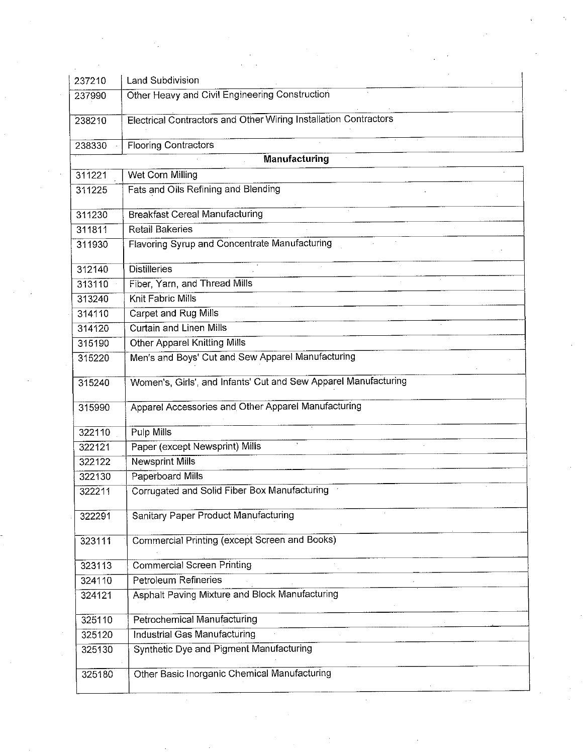| 237210 | Land Subdivision                                                                                                                                         |  |
|--------|----------------------------------------------------------------------------------------------------------------------------------------------------------|--|
| 237990 | Other Heavy and Civil Engineering Construction                                                                                                           |  |
|        |                                                                                                                                                          |  |
| 238210 | Electrical Contractors and Other Wiring Installation Contractors                                                                                         |  |
| 238330 | <b>Flooring Contractors</b>                                                                                                                              |  |
|        | <b>Manufacturing</b>                                                                                                                                     |  |
| 311221 | Wet Corn Milling                                                                                                                                         |  |
| 311225 | Fats and Oils Refining and Blending                                                                                                                      |  |
|        |                                                                                                                                                          |  |
| 311230 | <b>Breakfast Cereal Manufacturing</b>                                                                                                                    |  |
| 311811 | <b>Retail Bakeries</b>                                                                                                                                   |  |
| 311930 | Flavoring Syrup and Concentrate Manufacturing                                                                                                            |  |
|        |                                                                                                                                                          |  |
| 312140 | <b>Distilleries</b>                                                                                                                                      |  |
| 313110 | Fiber, Yarn, and Thread Mills                                                                                                                            |  |
| 313240 | Knit Fabric Mills                                                                                                                                        |  |
| 314110 | Carpet and Rug Mills                                                                                                                                     |  |
| 314120 | <b>Curtain and Linen Mills</b><br><u> 1980 - Jan James James Jan James James James James James James James James James James James James James James</u> |  |
| 315190 | Other Apparel Knitting Mills                                                                                                                             |  |
| 315220 | Men's and Boys' Cut and Sew Apparel Manufacturing                                                                                                        |  |
| 315240 | Women's, Girls', and Infants' Cut and Sew Apparel Manufacturing                                                                                          |  |
| 315990 | Apparel Accessories and Other Apparel Manufacturing                                                                                                      |  |
| 322110 | Pulp Mills                                                                                                                                               |  |
| 322121 | Paper (except Newsprint) Mills                                                                                                                           |  |
| 322122 | <b>Newsprint Mills</b>                                                                                                                                   |  |
| 322130 | Paperboard Mills                                                                                                                                         |  |
| 322211 | Corrugated and Solid Fiber Box Manufacturing                                                                                                             |  |
|        |                                                                                                                                                          |  |
| 322291 | Sanitary Paper Product Manufacturing                                                                                                                     |  |
| 323111 | Commercial Printing (except Screen and Books)                                                                                                            |  |
| 323113 | <b>Commercial Screen Printing</b>                                                                                                                        |  |
| 324110 | Petroleum Refineries                                                                                                                                     |  |
| 324121 | Asphalt Paving Mixture and Block Manufacturing                                                                                                           |  |
|        |                                                                                                                                                          |  |
| 325110 | <b>Petrochemical Manufacturing</b>                                                                                                                       |  |
| 325120 | <b>Industrial Gas Manufacturing</b>                                                                                                                      |  |
| 325130 | Synthetic Dye and Pigment Manufacturing                                                                                                                  |  |
|        |                                                                                                                                                          |  |
| 325180 | Other Basic Inorganic Chemical Manufacturing                                                                                                             |  |
|        |                                                                                                                                                          |  |

 $\sim$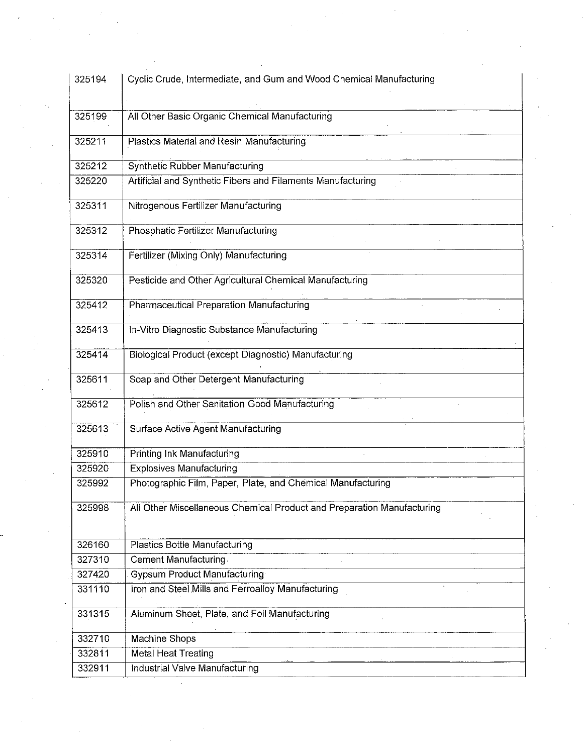| 325194<br>325199<br>325211 | Cyclic Crude, Intermediate, and Gum and Wood Chemical Manufacturing<br>All Other Basic Organic Chemical Manufacturing |  |
|----------------------------|-----------------------------------------------------------------------------------------------------------------------|--|
|                            |                                                                                                                       |  |
|                            |                                                                                                                       |  |
|                            | Plastics Material and Resin Manufacturing                                                                             |  |
|                            |                                                                                                                       |  |
| 325212                     | <b>Synthetic Rubber Manufacturing</b>                                                                                 |  |
| 325220                     | Artificial and Synthetic Fibers and Filaments Manufacturing                                                           |  |
| 325311                     | Nitrogenous Fertilizer Manufacturing                                                                                  |  |
| 325312                     | Phosphatic Fertilizer Manufacturing                                                                                   |  |
| 325314                     | Fertilizer (Mixing Only) Manufacturing                                                                                |  |
| 325320                     | Pesticide and Other Agricultural Chemical Manufacturing                                                               |  |
| 325412                     | Pharmaceutical Preparation Manufacturing                                                                              |  |
|                            |                                                                                                                       |  |
| 325413                     | In-Vitro Diagnostic Substance Manufacturing                                                                           |  |
| 325414                     | Biological Product (except Diagnostic) Manufacturing                                                                  |  |
| 325611                     | Soap and Other Detergent Manufacturing                                                                                |  |
| 325612                     | Polish and Other Sanitation Good Manufacturing                                                                        |  |
| 325613                     | Surface Active Agent Manufacturing                                                                                    |  |
| 325910                     | Printing Ink Manufacturing                                                                                            |  |
| 325920                     | <b>Explosives Manufacturing</b>                                                                                       |  |
| 325992                     | Photographic Film, Paper, Plate, and Chemical Manufacturing                                                           |  |
| 325998                     | All Other Miscellaneous Chemical Product and Preparation Manufacturing                                                |  |
| 326160                     | <b>Plastics Bottle Manufacturing</b>                                                                                  |  |
| 327310                     | <b>Cement Manufacturing</b>                                                                                           |  |
| 327420                     | <b>Gypsum Product Manufacturing</b>                                                                                   |  |
| 331110                     | Iron and Steel Mills and Ferroalloy Manufacturing                                                                     |  |
| 331315                     | Aluminum Sheet, Plate, and Foil Manufacturing                                                                         |  |
| 332710                     | Machine Shops                                                                                                         |  |
| 332811                     | <b>Metal Heat Treating</b>                                                                                            |  |
| 332911                     | Industrial Valve Manufacturing                                                                                        |  |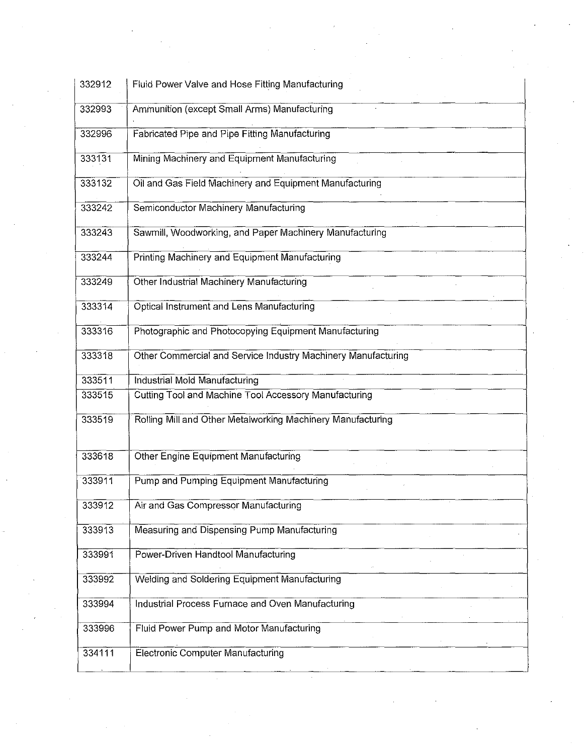| 332912 | Fluid Power Valve and Hose Fitting Manufacturing              |
|--------|---------------------------------------------------------------|
| 332993 | Ammunition (except Small Arms) Manufacturing                  |
| 332996 | Fabricated Pipe and Pipe Fitting Manufacturing                |
| 333131 | Mining Machinery and Equipment Manufacturing                  |
| 333132 | Oil and Gas Field Machinery and Equipment Manufacturing       |
| 333242 | Semiconductor Machinery Manufacturing                         |
| 333243 | Sawmill, Woodworking, and Paper Machinery Manufacturing       |
| 333244 | Printing Machinery and Equipment Manufacturing                |
| 333249 | Other Industrial Machinery Manufacturing                      |
| 333314 | Optical Instrument and Lens Manufacturing                     |
| 333316 | Photographic and Photocopying Equipment Manufacturing         |
| 333318 | Other Commercial and Service Industry Machinery Manufacturing |
| 333511 | <b>Industrial Mold Manufacturing</b>                          |
| 333515 | Cutting Tool and Machine Tool Accessory Manufacturing         |
| 333519 | Rolling Mill and Other Metalworking Machinery Manufacturing   |
| 333618 | Other Engine Equipment Manufacturing                          |
| 333911 | Pump and Pumping Equipment Manufacturing                      |
| 333912 | Air and Gas Compressor Manufacturing                          |
| 333913 | Measuring and Dispensing Pump Manufacturing                   |
| 333991 | Power-Driven Handtool Manufacturing                           |
| 333992 | Welding and Soldering Equipment Manufacturing                 |
| 333994 | Industrial Process Furnace and Oven Manufacturing             |
| 333996 | Fluid Power Pump and Motor Manufacturing                      |
| 334111 | <b>Electronic Computer Manufacturing</b>                      |
|        |                                                               |

 $\sim$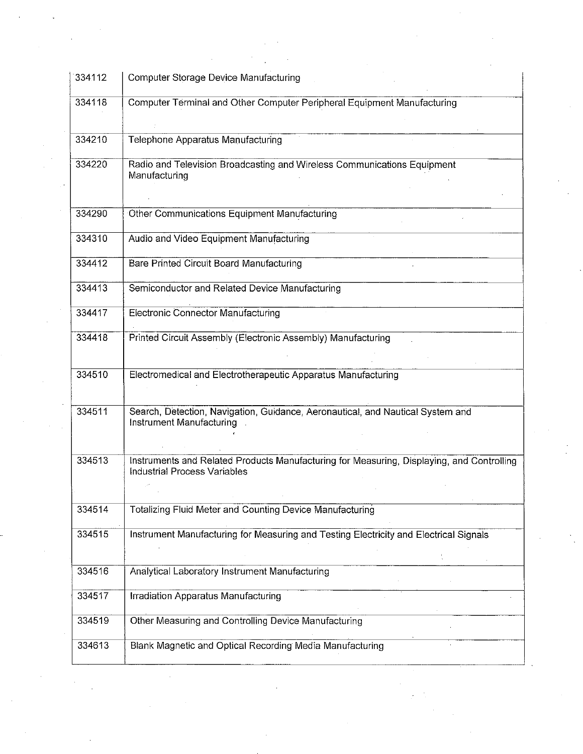| 334112 | Computer Storage Device Manufacturing                                                                                     |
|--------|---------------------------------------------------------------------------------------------------------------------------|
| 334118 | Computer Terminal and Other Computer Peripheral Equipment Manufacturing                                                   |
| 334210 | Telephone Apparatus Manufacturing                                                                                         |
| 334220 | Radio and Television Broadcasting and Wireless Communications Equipment<br>Manufacturing                                  |
| 334290 | Other Communications Equipment Manufacturing                                                                              |
| 334310 | Audio and Video Equipment Manufacturing                                                                                   |
| 334412 | Bare Printed Circuit Board Manufacturing                                                                                  |
| 334413 | Semiconductor and Related Device Manufacturing                                                                            |
| 334417 | Electronic Connector Manufacturing                                                                                        |
| 334418 | Printed Circuit Assembly (Electronic Assembly) Manufacturing                                                              |
| 334510 | Electromedical and Electrotherapeutic Apparatus Manufacturing                                                             |
| 334511 | Search, Detection, Navigation, Guidance, Aeronautical, and Nautical System and<br>Instrument Manufacturing                |
| 334513 | Instruments and Related Products Manufacturing for Measuring, Displaying, and Controlling<br>Industrial Process Variables |
| 334514 | Totalizing Fluid Meter and Counting Device Manufacturing                                                                  |
| 334515 | Instrument Manufacturing for Measuring and Testing Electricity and Electrical Signals                                     |
|        |                                                                                                                           |
| 334516 | Analytical Laboratory Instrument Manufacturing                                                                            |
| 334517 | Irradiation Apparatus Manufacturing                                                                                       |
| 334519 | Other Measuring and Controlling Device Manufacturing                                                                      |
| 334613 | Blank Magnetic and Optical Recording Media Manufacturing                                                                  |

 $\label{eq:2.1} \frac{1}{\sqrt{2}}\int_{\mathbb{R}^3}\frac{1}{\sqrt{2}}\left(\frac{1}{\sqrt{2}}\right)^2\frac{1}{\sqrt{2}}\left(\frac{1}{\sqrt{2}}\right)^2\frac{1}{\sqrt{2}}\left(\frac{1}{\sqrt{2}}\right)^2\frac{1}{\sqrt{2}}\left(\frac{1}{\sqrt{2}}\right)^2.$ 

 $\mathcal{A}^{\mathcal{A}}_{\mathcal{A}}$ 

 $\frac{1}{2} \int_{\mathbb{R}^3} \frac{1}{\sqrt{2}} \, \mathrm{d} \mu \, \mathrm{d} \mu \, \mathrm{d} \mu \, \mathrm{d} \mu \, \mathrm{d} \mu \, \mathrm{d} \mu \, \mathrm{d} \mu \, \mathrm{d} \mu \, \mathrm{d} \mu \, \mathrm{d} \mu \, \mathrm{d} \mu \, \mathrm{d} \mu \, \mathrm{d} \mu \, \mathrm{d} \mu \, \mathrm{d} \mu \, \mathrm{d} \mu \, \mathrm{d} \mu \, \mathrm{d} \mu \, \mathrm{d} \mu \, \mathrm{d} \mu \, \mathrm{d} \mu \,$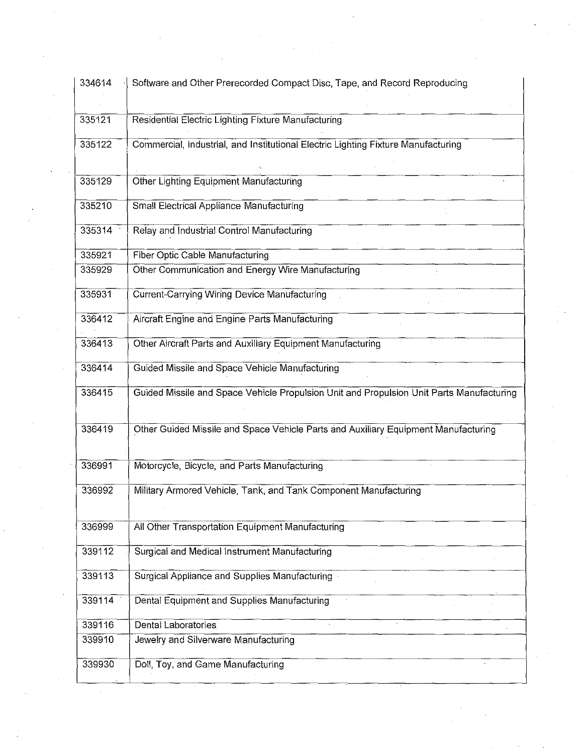| 334614 | Software and Other Prerecorded Compact Disc, Tape, and Record Reproducing                |
|--------|------------------------------------------------------------------------------------------|
|        |                                                                                          |
| 335121 | <b>Residential Electric Lighting Fixture Manufacturing</b>                               |
| 335122 | Commercial, Industrial, and Institutional Electric Lighting Fixture Manufacturing        |
|        |                                                                                          |
| 335129 | Other Lighting Equipment Manufacturing                                                   |
| 335210 | <b>Small Electrical Appliance Manufacturing</b>                                          |
| 335314 | Relay and Industrial Control Manufacturing                                               |
| 335921 | Fiber Optic Cable Manufacturing                                                          |
| 335929 | Other Communication and Energy Wire Manufacturing                                        |
| 335931 |                                                                                          |
|        | <b>Current-Carrying Wiring Device Manufacturing</b>                                      |
| 336412 | Aircraft Engine and Engine Parts Manufacturing                                           |
| 336413 | Other Aircraft Parts and Auxiliary Equipment Manufacturing                               |
| 336414 | Guided Missile and Space Vehicle Manufacturing                                           |
| 336415 | Guided Missile and Space Vehicle Propulsion Unit and Propulsion Unit Parts Manufacturing |
| 336419 | Other Guided Missile and Space Vehicle Parts and Auxiliary Equipment Manufacturing       |
| 336991 | Motorcycle, Bicycle, and Parts Manufacturing                                             |
| 336992 | Military Armored Vehicle, Tank, and Tank Component Manufacturing                         |
|        |                                                                                          |
| 336999 | All Other Transportation Equipment Manufacturing                                         |
| 339112 | Surgical and Medical Instrument Manufacturing                                            |
| 339113 | Surgical Appliance and Supplies Manufacturing                                            |
| 339114 | Dental Equipment and Supplies Manufacturing                                              |
| 339116 | Dental Laboratories                                                                      |
| 339910 | Jewelry and Silverware Manufacturing                                                     |
| 339930 | Doll, Toy, and Game Manufacturing                                                        |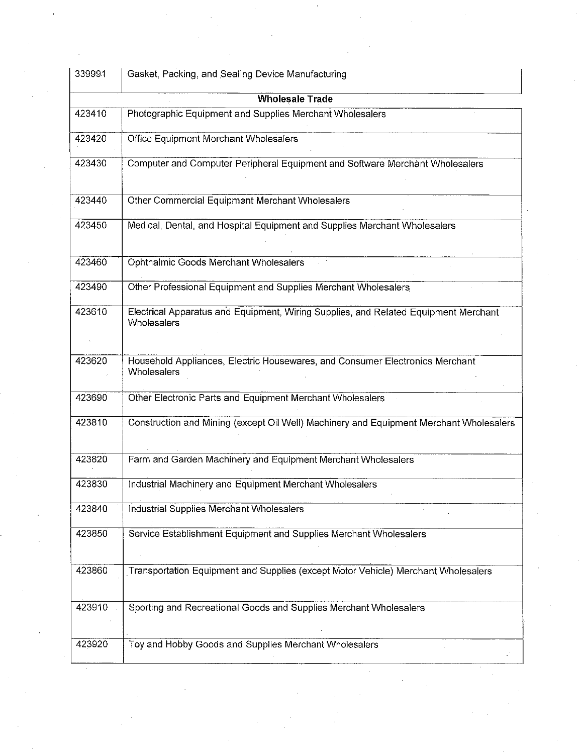|        | Gasket, Packing, and Sealing Device Manufacturing                                                         |
|--------|-----------------------------------------------------------------------------------------------------------|
|        | <b>Wholesale Trade</b>                                                                                    |
| 423410 | Photographic Equipment and Supplies Merchant Wholesalers                                                  |
| 423420 | Office Equipment Merchant Wholesalers                                                                     |
| 423430 | Computer and Computer Peripheral Equipment and Software Merchant Wholesalers                              |
| 423440 | Other Commercial Equipment Merchant Wholesalers                                                           |
| 423450 | Medical, Dental, and Hospital Equipment and Supplies Merchant Wholesalers                                 |
| 423460 | Ophthalmic Goods Merchant Wholesalers                                                                     |
| 423490 | Other Professional Equipment and Supplies Merchant Wholesalers                                            |
| 423610 | Electrical Apparatus and Equipment, Wiring Supplies, and Related Equipment Merchant<br><b>Wholesalers</b> |
|        |                                                                                                           |
| 423620 | Household Appliances, Electric Housewares, and Consumer Electronics Merchant<br>Wholesalers               |
| 423690 | Other Electronic Parts and Equipment Merchant Wholesalers                                                 |
| 423810 | Construction and Mining (except Oil Well) Machinery and Equipment Merchant Wholesalers                    |
| 423820 | Farm and Garden Machinery and Equipment Merchant Wholesalers                                              |
| 423830 |                                                                                                           |
|        | Industrial Machinery and Equipment Merchant Wholesalers                                                   |
| 423840 | Industrial Supplies Merchant Wholesalers                                                                  |
| 423850 | Service Establishment Equipment and Supplies Merchant Wholesalers                                         |
| 423860 | Transportation Equipment and Supplies (except Motor Vehicle) Merchant Wholesalers                         |
| 423910 | Sporting and Recreational Goods and Supplies Merchant Wholesalers                                         |
| 423920 | Toy and Hobby Goods and Supplies Merchant Wholesalers                                                     |
|        |                                                                                                           |
|        |                                                                                                           |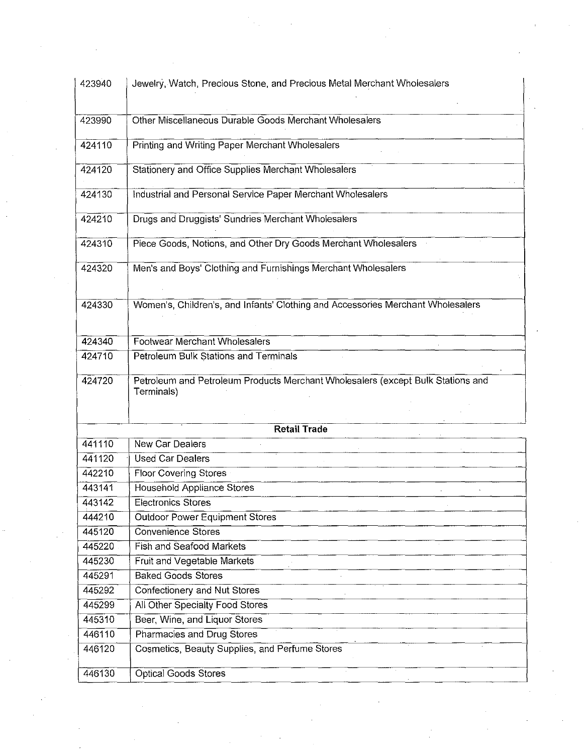|        | Jewelry, Watch, Precious Stone, and Precious Metal Merchant Wholesalers                       |  |
|--------|-----------------------------------------------------------------------------------------------|--|
| 423990 | Other Miscellaneous Durable Goods Merchant Wholesalers                                        |  |
| 424110 | <b>Printing and Writing Paper Merchant Wholesalers</b>                                        |  |
| 424120 | Stationery and Office Supplies Merchant Wholesalers                                           |  |
| 424130 | Industrial and Personal Service Paper Merchant Wholesalers                                    |  |
| 424210 | Drugs and Druggists' Sundries Merchant Wholesalers                                            |  |
| 424310 | Piece Goods, Notions, and Other Dry Goods Merchant Wholesalers                                |  |
| 424320 | Men's and Boys' Clothing and Furnishings Merchant Wholesalers                                 |  |
| 424330 | Women's, Children's, and Infants' Clothing and Accessories Merchant Wholesalers               |  |
| 424340 | Footwear Merchant Wholesalers                                                                 |  |
| 424710 | Petroleum Bulk Stations and Terminals                                                         |  |
| 424720 | Petroleum and Petroleum Products Merchant Wholesalers (except Bulk Stations and<br>Terminals) |  |
|        | <b>Retail Trade</b>                                                                           |  |
| 441110 | New Car Dealers                                                                               |  |
| 441120 | <b>Used Car Dealers</b>                                                                       |  |
| 442210 | Floor Covering Stores                                                                         |  |
| 443141 | Household Appliance Stores                                                                    |  |
| 443142 | <b>Electronics Stores</b>                                                                     |  |
| 444210 | <b>Outdoor Power Equipment Stores</b>                                                         |  |
| 445120 | Convenience Stores                                                                            |  |
| 445220 | <b>Fish and Seafood Markets</b>                                                               |  |
| 445230 | Fruit and Vegetable Markets                                                                   |  |
| 445291 | <b>Baked Goods Stores</b>                                                                     |  |
| 445292 | <b>Confectionery and Nut Stores</b>                                                           |  |
| 445299 | All Other Specialty Food Stores                                                               |  |
| 445310 | Beer, Wine, and Liquor Stores                                                                 |  |
| 446110 | Pharmacies and Drug Stores                                                                    |  |
| 446120 | Cosmetics, Beauty Supplies, and Perfume Stores                                                |  |
|        | Optical Goods Stores                                                                          |  |
| 446130 |                                                                                               |  |
|        |                                                                                               |  |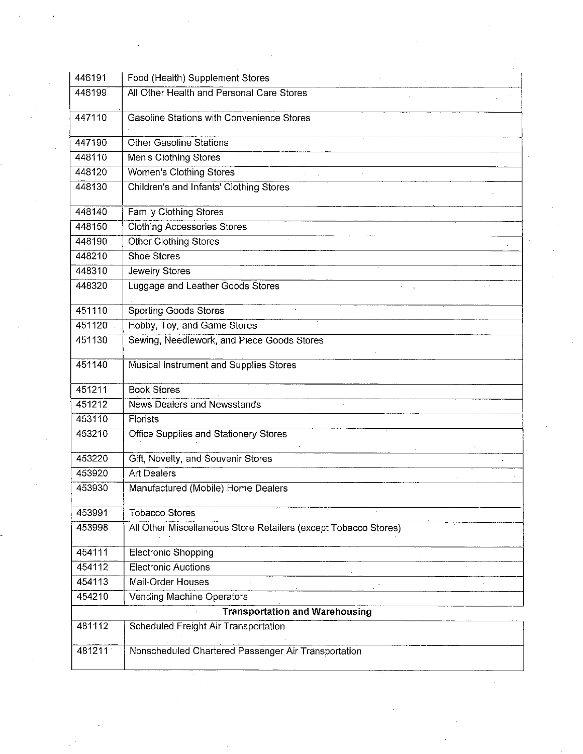| 446191 | Food (Health) Supplement Stores                                 |
|--------|-----------------------------------------------------------------|
| 446199 | All Other Health and Personal Care Stores                       |
| 447110 | Gasoline Stations with Convenience Stores                       |
| 447190 | <b>Other Gasoline Stations</b>                                  |
| 448110 | Men's Clothing Stores                                           |
| 448120 | Women's Clothing Stores                                         |
| 448130 | Children's and Infants' Clothing Stores                         |
| 448140 | Family Clothing Stores                                          |
| 448150 | <b>Clothing Accessories Stores</b>                              |
| 448190 | <b>Other Clothing Stores</b>                                    |
| 448210 | Shoe Stores                                                     |
| 448310 | Jewelry Stores                                                  |
| 448320 | Luggage and Leather Goods Stores                                |
| 451110 | <b>Sporting Goods Stores</b>                                    |
| 451120 | Hobby, Toy, and Game Stores                                     |
| 451130 | Sewing, Needlework, and Piece Goods Stores                      |
| 451140 | Musical Instrument and Supplies Stores                          |
| 451211 | <b>Book Stores</b>                                              |
| 451212 | <b>News Dealers and Newsstands</b>                              |
| 453110 | <b>Florists</b>                                                 |
| 453210 | Office Supplies and Stationery Stores                           |
| 453220 | Gift, Novelty, and Souvenir Stores                              |
| 453920 | <b>Art Dealers</b>                                              |
| 453930 | Manufactured (Mobile) Home Dealers                              |
| 453991 | <b>Tobacco Stores</b>                                           |
| 453998 | All Other Miscellaneous Store Retailers (except Tobacco Stores) |
| 454111 | Electronic Shopping                                             |
| 454112 | <b>Electronic Auctions</b>                                      |
| 454113 | Mail-Order Houses                                               |
| 454210 | Vending Machine Operators                                       |
|        | <b>Transportation and Warehousing</b>                           |
| 481112 | Scheduled Freight Air Transportation                            |
| 481211 | Nonscheduled Chartered Passenger Air Transportation             |

 $\frac{1}{2}$ 

 $\mathcal{F}_{\mathcal{G}}$ 

 $\frac{1}{2}$ 

 $\label{eq:1} \frac{1}{\sqrt{2}}\int_{0}^{\pi/2} \frac{1}{\sqrt{2}}\,d\mu$ 

 $\mathcal{L}^{\text{max}}_{\text{max}}$ 

 $\sim 400$ 

 $\sim$  10  $^{\circ}$ 

 $\mathcal{F}_{\mathcal{F}}$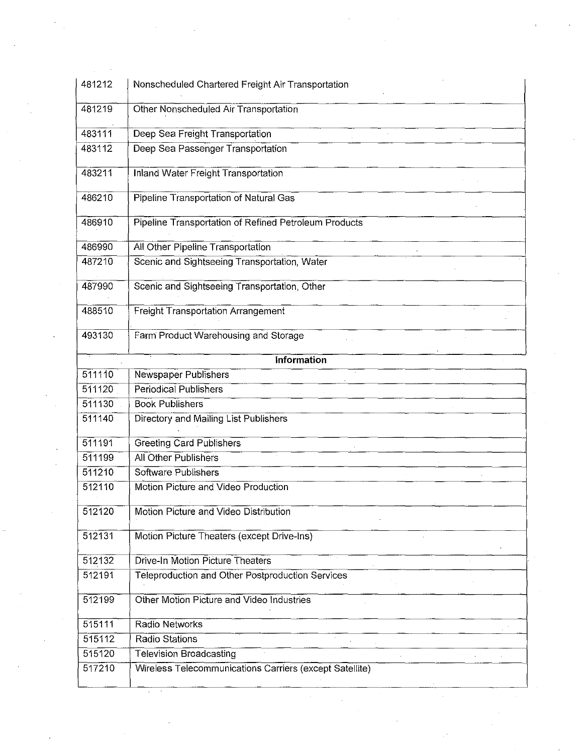| 481212 | Nonscheduled Chartered Freight Air Transportation       |
|--------|---------------------------------------------------------|
| 481219 | Other Nonscheduled Air Transportation                   |
| 483111 | Deep Sea Freight Transportation                         |
| 483112 | Deep Sea Passenger Transportation                       |
| 483211 | <b>Inland Water Freight Transportation</b>              |
| 486210 | <b>Pipeline Transportation of Natural Gas</b>           |
| 486910 | Pipeline Transportation of Refined Petroleum Products   |
| 486990 | All Other Pipeline Transportation                       |
| 487210 | Scenic and Sightseeing Transportation, Water            |
| 487990 | Scenic and Sightseeing Transportation, Other            |
| 488510 | <b>Freight Transportation Arrangement</b>               |
| 493130 | Farm Product Warehousing and Storage                    |
|        | <b>Information</b>                                      |
| 511110 | Newspaper Publishers                                    |
| 511120 | <b>Periodical Publishers</b>                            |
| 511130 | <b>Book Publishers</b>                                  |
| 511140 | Directory and Mailing List Publishers                   |
| 511191 | <b>Greeting Card Publishers</b>                         |
| 511199 | All Other Publishers                                    |
| 511210 | Software Publishers                                     |
| 512110 | Motion Picture and Video Production                     |
| 512120 | Motion Picture and Video Distribution                   |
| 512131 | Motion Picture Theaters (except Drive-Ins)              |
| 512132 | <b>Drive-In Motion Picture Theaters</b>                 |
| 512191 | Teleproduction and Other Postproduction Services        |
| 512199 | Other Motion Picture and Video Industries               |
| 515111 | Radio Networks                                          |
| 515112 | Radio Stations                                          |
| 515120 | <b>Television Broadcasting</b>                          |
| 517210 | Wireless Telecommunications Carriers (except Satellite) |
|        |                                                         |
|        |                                                         |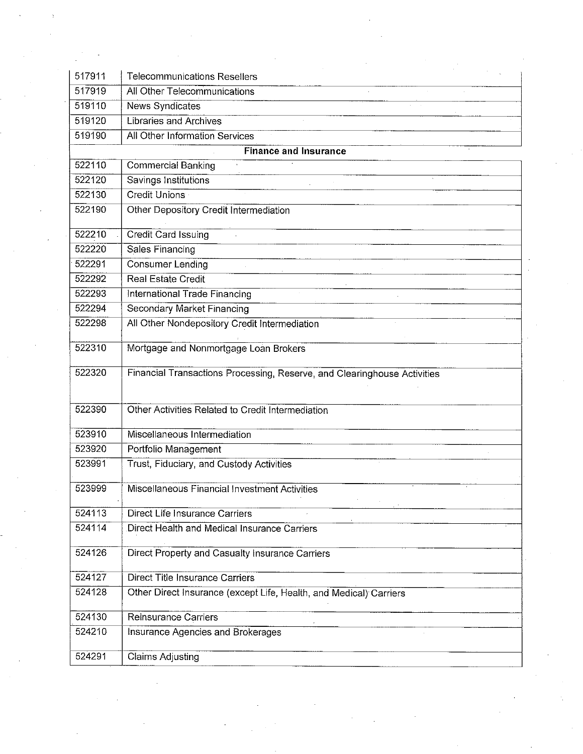| 517911 | <b>Telecommunications Resellers</b>                                      |  |
|--------|--------------------------------------------------------------------------|--|
| 517919 | All Other Telecommunications                                             |  |
| 519110 | News Syndicates                                                          |  |
| 519120 | <b>Libraries and Archives</b>                                            |  |
| 519190 | All Other Information Services                                           |  |
|        | <b>Finance and Insurance</b>                                             |  |
| 522110 | <b>Commercial Banking</b>                                                |  |
| 522120 | Savings Institutions                                                     |  |
| 522130 | Credit Unions                                                            |  |
| 522190 | Other Depository Credit Intermediation                                   |  |
| 522210 | <b>Credit Card Issuing</b>                                               |  |
| 522220 | Sales Financing                                                          |  |
| 522291 | <b>Consumer Lending</b>                                                  |  |
| 522292 | <b>Real Estate Credit</b>                                                |  |
| 522293 | International Trade Financing                                            |  |
| 522294 | Secondary Market Financing                                               |  |
| 522298 | All Other Nondepository Credit Intermediation                            |  |
|        |                                                                          |  |
| 522310 | Mortgage and Nonmortgage Loan Brokers                                    |  |
| 522320 | Financial Transactions Processing, Reserve, and Clearinghouse Activities |  |
|        |                                                                          |  |
| 522390 | Other Activities Related to Credit Intermediation                        |  |
|        |                                                                          |  |
| 523910 | Miscellaneous Intermediation                                             |  |
| 523920 | Portfolio Management                                                     |  |
| 523991 | Trust, Fiduciary, and Custody Activities                                 |  |
| 523999 | Miscellaneous Financial Investment Activities                            |  |
|        |                                                                          |  |
| 524113 | <b>Direct Life Insurance Carriers</b>                                    |  |
| 524114 | Direct Health and Medical Insurance Carriers                             |  |
| 524126 | Direct Property and Casualty Insurance Carriers                          |  |
|        |                                                                          |  |
| 524127 | Direct Title Insurance Carriers                                          |  |
| 524128 | Other Direct Insurance (except Life, Health, and Medical) Carriers       |  |
| 524130 | <b>Reinsurance Carriers</b>                                              |  |
| 524210 | Insurance Agencies and Brokerages                                        |  |

 $\mathcal{L}(\mathcal{L}(\mathcal{L}(\mathcal{L}(\mathcal{L}(\mathcal{L}(\mathcal{L}(\mathcal{L}(\mathcal{L}(\mathcal{L}(\mathcal{L}(\mathcal{L}(\mathcal{L}(\mathcal{L}(\mathcal{L}(\mathcal{L}(\mathcal{L}(\mathcal{L}(\mathcal{L}(\mathcal{L}(\mathcal{L}(\mathcal{L}(\mathcal{L}(\mathcal{L}(\mathcal{L}(\mathcal{L}(\mathcal{L}(\mathcal{L}(\mathcal{L}(\mathcal{L}(\mathcal{L}(\mathcal{L}(\mathcal{L}(\mathcal{L}(\mathcal{L}(\mathcal{L}(\mathcal{$ 

 $\label{eq:2.1} \mathcal{L}(\mathcal{L}^{\mathcal{L}}_{\mathcal{L}}(\mathcal{L}^{\mathcal{L}}_{\mathcal{L}})) \leq \mathcal{L}(\mathcal{L}^{\mathcal{L}}_{\mathcal{L}}(\mathcal{L}^{\mathcal{L}}_{\mathcal{L}})) \leq \mathcal{L}(\mathcal{L}^{\mathcal{L}}_{\mathcal{L}}(\mathcal{L}^{\mathcal{L}}_{\mathcal{L}}))$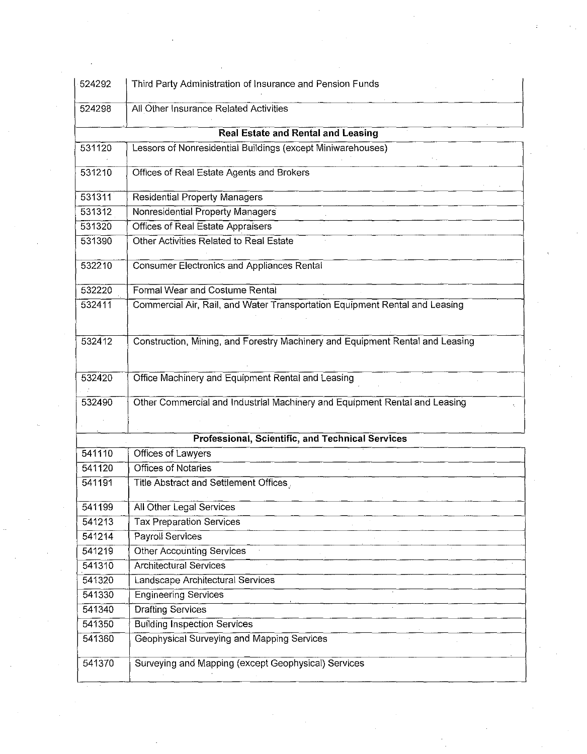| 524292 | Third Party Administration of Insurance and Pension Funds                     |
|--------|-------------------------------------------------------------------------------|
| 524298 | All Other Insurance Related Activities                                        |
|        | Real Estate and Rental and Leasing                                            |
| 531120 | Lessors of Nonresidential Buildings (except Miniwarehouses)                   |
| 531210 | Offices of Real Estate Agents and Brokers                                     |
| 531311 | <b>Residential Property Managers</b>                                          |
| 531312 | Nonresidential Property Managers                                              |
| 531320 | Offices of Real Estate Appraisers                                             |
| 531390 | Other Activities Related to Real Estate                                       |
| 532210 | Consumer Electronics and Appliances Rental                                    |
| 532220 | Formal Wear and Costume Rental                                                |
| 532411 | Commercial Air, Rail, and Water Transportation Equipment Rental and Leasing   |
|        |                                                                               |
| 532412 | Construction, Mining, and Forestry Machinery and Equipment Rental and Leasing |
|        |                                                                               |
| 532420 | Office Machinery and Equipment Rental and Leasing                             |
|        |                                                                               |
| 532490 | Other Commercial and Industrial Machinery and Equipment Rental and Leasing    |
|        |                                                                               |
|        |                                                                               |
|        | Professional, Scientific, and Technical Services                              |
| 541110 | Offices of Lawyers                                                            |
| 541120 | <b>Offices of Notaries</b>                                                    |
| 541191 | Title Abstract and Settlement Offices                                         |
| 541199 | All Other Legal Services                                                      |
| 541213 | <b>Tax Preparation Services</b>                                               |
| 541214 | Payroll Services                                                              |
| 541219 | Other Accounting Services                                                     |
| 541310 | <b>Architectural Services</b>                                                 |
| 541320 | Landscape Architectural Services                                              |
| 541330 | <b>Engineering Services</b>                                                   |
| 541340 | <b>Drafting Services</b>                                                      |
| 541350 | <b>Building Inspection Services</b>                                           |
|        |                                                                               |
| 541360 | Geophysical Surveying and Mapping Services                                    |
| 541370 | Surveying and Mapping (except Geophysical) Services                           |
|        |                                                                               |

 $\pm$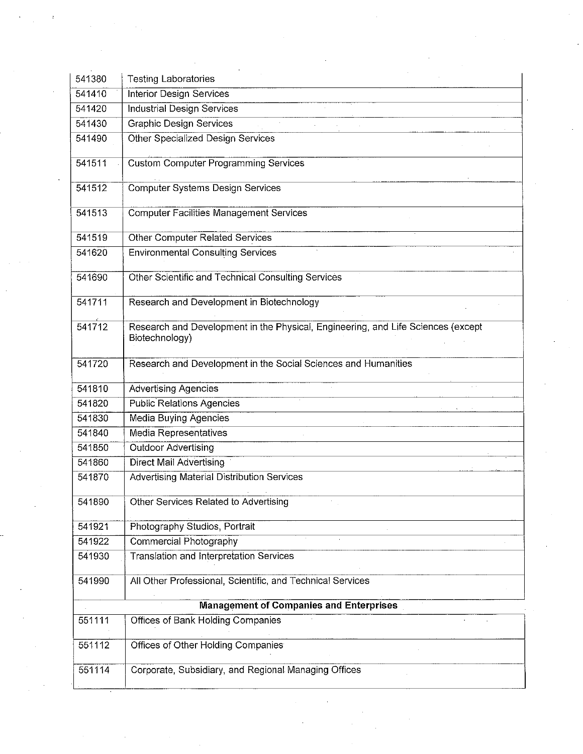| 541380 | <b>Testing Laboratories</b>                                                                        |
|--------|----------------------------------------------------------------------------------------------------|
| 541410 | Interior Design Services                                                                           |
| 541420 | <b>Industrial Design Services</b>                                                                  |
| 541430 | <b>Graphic Design Services</b>                                                                     |
| 541490 | <b>Other Specialized Design Services</b>                                                           |
|        |                                                                                                    |
| 541511 | <b>Custom Computer Programming Services</b>                                                        |
| 541512 | Computer Systems Design Services                                                                   |
|        |                                                                                                    |
| 541513 | <b>Computer Facilities Management Services</b>                                                     |
| 541519 | <b>Other Computer Related Services</b>                                                             |
| 541620 | <b>Environmental Consulting Services</b>                                                           |
|        |                                                                                                    |
| 541690 | Other Scientific and Technical Consulting Services                                                 |
| 541711 | Research and Development in Biotechnology                                                          |
|        |                                                                                                    |
| 541712 | Research and Development in the Physical, Engineering, and Life Sciences (except<br>Biotechnology) |
| 541720 | Research and Development in the Social Sciences and Humanities                                     |
| 541810 | <b>Advertising Agencies</b>                                                                        |
| 541820 | <b>Public Relations Agencies</b>                                                                   |
| 541830 | <b>Media Buying Agencies</b>                                                                       |
| 541840 | <b>Media Representatives</b>                                                                       |
| 541850 | <b>Outdoor Advertising</b>                                                                         |
| 541860 | Direct Mail Advertising                                                                            |
| 541870 | <b>Advertising Material Distribution Services</b>                                                  |
| 541890 | Other Services Related to Advertising                                                              |
| 541921 | Photography Studios, Portrait                                                                      |
| 541922 | Commercial Photography                                                                             |
| 541930 | <b>Translation and Interpretation Services</b>                                                     |
| 541990 | All Other Professional, Scientific, and Technical Services                                         |
|        | <b>Management of Companies and Enterprises</b>                                                     |
| 551111 | <b>Offices of Bank Holding Companies</b>                                                           |
|        |                                                                                                    |

 $\label{eq:2.1} \frac{1}{\sqrt{2\pi}}\int_{\mathbb{R}^3}\frac{d\mu}{\sqrt{2\pi}}\left(\frac{d\mu}{\sqrt{2\pi}}\right)^2\frac{d\mu}{\sqrt{2\pi}}\int_{\mathbb{R}^3}\frac{d\mu}{\sqrt{2\pi}}\frac{d\mu}{\sqrt{2\pi}}\frac{d\mu}{\sqrt{2\pi}}\frac{d\mu}{\sqrt{2\pi}}\frac{d\mu}{\sqrt{2\pi}}\frac{d\mu}{\sqrt{2\pi}}\frac{d\mu}{\sqrt{2\pi}}\frac{d\mu}{\sqrt{2\pi}}\frac{d\mu}{\sqrt{2\pi}}\frac{$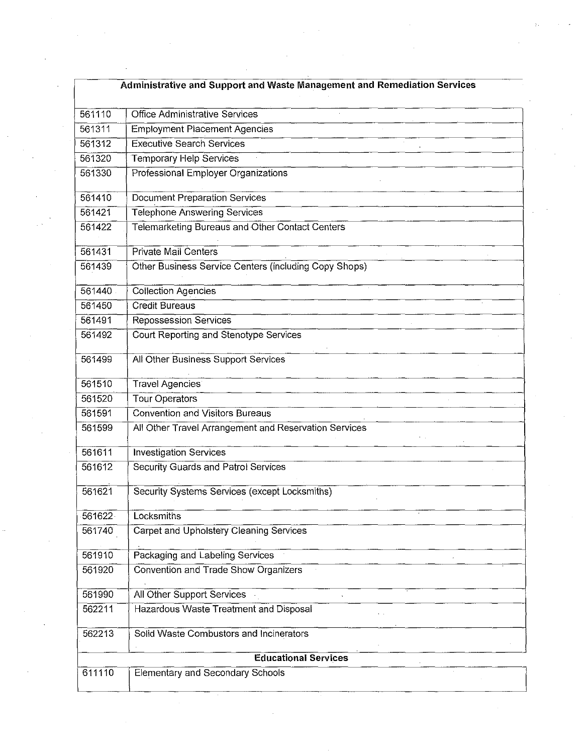| Administrative and Support and Waste Management and Remediation Services |                                                       |  |
|--------------------------------------------------------------------------|-------------------------------------------------------|--|
| 561110                                                                   | <b>Office Administrative Services</b>                 |  |
| 561311                                                                   | <b>Employment Placement Agencies</b>                  |  |
| 561312                                                                   | <b>Executive Search Services</b>                      |  |
| 561320                                                                   | Temporary Help Services                               |  |
| 561330                                                                   | Professional Employer Organizations                   |  |
| 561410                                                                   | <b>Document Preparation Services</b>                  |  |
| 561421                                                                   | <b>Telephone Answering Services</b>                   |  |
| 561422                                                                   | Telemarketing Bureaus and Other Contact Centers       |  |
| 561431                                                                   | <b>Private Mail Centers</b>                           |  |
| 561439                                                                   | Other Business Service Centers (including Copy Shops) |  |
| 561440                                                                   | <b>Collection Agencies</b>                            |  |
| 561450                                                                   | <b>Credit Bureaus</b>                                 |  |
| 561491                                                                   | Repossession Services                                 |  |
| 561492                                                                   | Court Reporting and Stenotype Services                |  |
| 561499                                                                   | All Other Business Support Services                   |  |
| 561510                                                                   | <b>Travel Agencies</b>                                |  |
| 561520                                                                   | <b>Tour Operators</b>                                 |  |
| 561591                                                                   | <b>Convention and Visitors Bureaus</b>                |  |
| 561599                                                                   | All Other Travel Arrangement and Reservation Services |  |
| 561611                                                                   | <b>Investigation Services</b>                         |  |
| 561612                                                                   | Security Guards and Patrol Services                   |  |
| 561621                                                                   | Security Systems Services (except Locksmiths)         |  |
| 561622                                                                   | Locksmiths                                            |  |
| 561740                                                                   | <b>Carpet and Upholstery Cleaning Services</b>        |  |
| 561910                                                                   | Packaging and Labeling Services                       |  |
| 561920                                                                   | Convention and Trade Show Organizers                  |  |
| 561990                                                                   | All Other Support Services                            |  |
| 562211                                                                   | Hazardous Waste Treatment and Disposal                |  |
| 562213                                                                   | Solid Waste Combustors and Incinerators               |  |

 $\mathcal{L}^{(1)}$ 

 $\label{eq:2.1} \mathcal{L}(\mathcal{L}^{\text{max}}_{\mathcal{L}}(\mathcal{L}^{\text{max}}_{\mathcal{L}})) \leq \mathcal{L}(\mathcal{L}^{\text{max}}_{\mathcal{L}}(\mathcal{L}^{\text{max}}_{\mathcal{L}}))$ 

 $\mathcal{L}_{\text{max}}$  and  $\mathcal{L}_{\text{max}}$ 

 $\frac{1}{2}$  .

 $\sim 10^{-1}$ 

 $\frac{1}{2}\left( \frac{1}{2}\right) ^{2}$  .

 $\mathcal{L}(\mathcal{A})$  and  $\mathcal{L}(\mathcal{A})$ 

 $\sim$ 

 $\sim 10^{-1}$ 

 $\label{eq:2} \frac{1}{\sqrt{2}}\sum_{i=1}^n\frac{1}{\sqrt{2}}\sum_{j=1}^n\frac{1}{j!}\sum_{j=1}^n\frac{1}{j!}\sum_{j=1}^n\frac{1}{j!}\sum_{j=1}^n\frac{1}{j!}\sum_{j=1}^n\frac{1}{j!}\sum_{j=1}^n\frac{1}{j!}\sum_{j=1}^n\frac{1}{j!}\sum_{j=1}^n\frac{1}{j!}\sum_{j=1}^n\frac{1}{j!}\sum_{j=1}^n\frac{1}{j!}\sum_{j=1}^n\frac{1}{j!}\sum_{j=1}^$ 

 $\label{eq:2.1} \frac{1}{\sqrt{2}}\int_{\mathbb{R}^3}\frac{1}{\sqrt{2}}\left(\frac{1}{\sqrt{2}}\right)^2\frac{1}{\sqrt{2}}\left(\frac{1}{\sqrt{2}}\right)^2\frac{1}{\sqrt{2}}\left(\frac{1}{\sqrt{2}}\right)^2\frac{1}{\sqrt{2}}\left(\frac{1}{\sqrt{2}}\right)^2.$ 

 $\label{eq:2.1} \frac{1}{2} \sum_{i=1}^n \frac{1}{2} \sum_{j=1}^n \frac{1}{2} \sum_{j=1}^n \frac{1}{2} \sum_{j=1}^n \frac{1}{2} \sum_{j=1}^n \frac{1}{2} \sum_{j=1}^n \frac{1}{2} \sum_{j=1}^n \frac{1}{2} \sum_{j=1}^n \frac{1}{2} \sum_{j=1}^n \frac{1}{2} \sum_{j=1}^n \frac{1}{2} \sum_{j=1}^n \frac{1}{2} \sum_{j=1}^n \frac{1}{2} \sum_{j=1}^n \frac{$ 

 $\label{eq:1} \mathcal{L}(\mathbf{B}) = \mathcal{L}(\mathbf{B}) \mathcal{L}(\mathbf{B})$ 

 $\mathcal{A}^{\mathcal{A}}$ 

 $\mathcal{A}_{\mathcal{A}}$ 

 $\mathcal{L}^{\text{max}}_{\text{max}}$  and  $\mathcal{L}^{\text{max}}_{\text{max}}$ 

 $\sim 10^{-1}$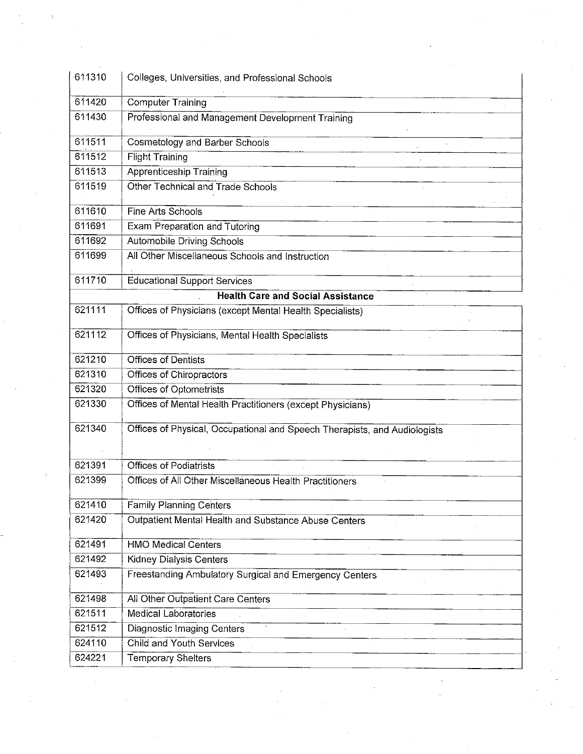| 611310           |                                                                                          |
|------------------|------------------------------------------------------------------------------------------|
|                  | Colleges, Universities, and Professional Schools                                         |
| 611420           | <b>Computer Training</b>                                                                 |
| 611430           | Professional and Management Development Training                                         |
| 611511           | <b>Cosmetology and Barber Schools</b>                                                    |
| 611512           | <b>Flight Training</b>                                                                   |
| 611513           | <b>Apprenticeship Training</b>                                                           |
| 611519           | Other Technical and Trade Schools                                                        |
| 611610           | Fine Arts Schools                                                                        |
| 611691           | Exam Preparation and Tutoring                                                            |
| 611692           | <b>Automobile Driving Schools</b>                                                        |
| 611699           | All Other Miscellaneous Schools and Instruction                                          |
| 611710           | <b>Educational Support Services</b>                                                      |
|                  | <b>Health Care and Social Assistance</b>                                                 |
| 621111           | Offices of Physicians (except Mental Health Specialists)                                 |
| 621112           | Offices of Physicians, Mental Health Specialists                                         |
| 621210           | <b>Offices of Dentists</b>                                                               |
| 621310           | Offices of Chiropractors                                                                 |
| 621320           | <b>Offices of Optometrists</b>                                                           |
| 621330           | Offices of Mental Health Practitioners (except Physicians)                               |
| 621340           | Offices of Physical, Occupational and Speech Therapists, and Audiologists                |
| 621391           | <b>Offices of Podiatrists</b>                                                            |
| 621399           | Offices of All Other Miscellaneous Health Practitioners                                  |
|                  |                                                                                          |
| 621410<br>621420 | <b>Family Planning Centers</b><br>Outpatient Mental Health and Substance Abuse Centers   |
|                  |                                                                                          |
| 621491           | <b>HMO Medical Centers</b>                                                               |
| 621492<br>621493 | <b>Kidney Dialysis Centers</b><br>Freestanding Ambulatory Surgical and Emergency Centers |
|                  |                                                                                          |
| 621498           | All Other Outpatient Care Centers                                                        |
| 621511<br>621512 | <b>Medical Laboratories</b>                                                              |
|                  | Diagnostic Imaging Centers                                                               |
| 624110           | <b>Child and Youth Services</b>                                                          |
| 624221           | <b>Temporary Shelters</b>                                                                |
|                  |                                                                                          |
|                  |                                                                                          |
|                  |                                                                                          |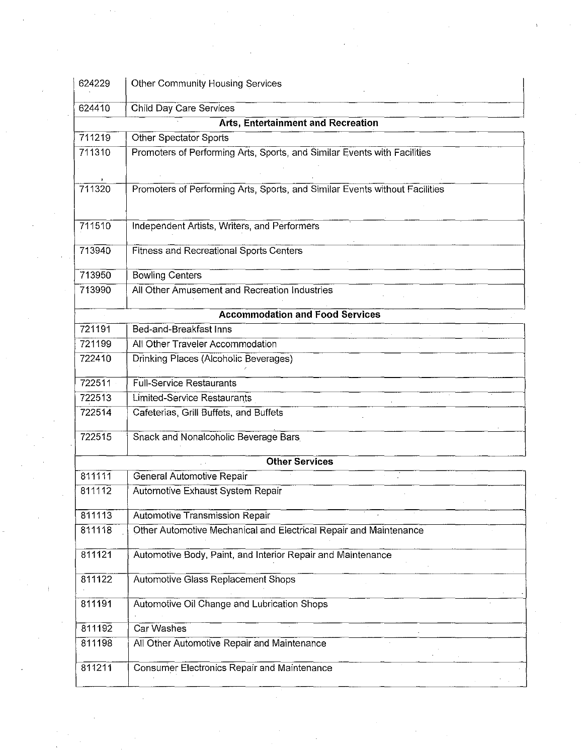| 624229                                 | <b>Other Community Housing Services</b>                                     |  |  |  |
|----------------------------------------|-----------------------------------------------------------------------------|--|--|--|
| 624410                                 | Child Day Care Services                                                     |  |  |  |
|                                        | <b>Arts, Entertainment and Recreation</b>                                   |  |  |  |
| 711219                                 | <b>Other Spectator Sports</b>                                               |  |  |  |
| 711310                                 | Promoters of Performing Arts, Sports, and Similar Events with Facilities    |  |  |  |
| 711320                                 | Promoters of Performing Arts, Sports, and Similar Events without Facilities |  |  |  |
| 711510                                 | Independent Artists, Writers, and Performers                                |  |  |  |
| 713940                                 | <b>Fitness and Recreational Sports Centers</b>                              |  |  |  |
| 713950                                 | <b>Bowling Centers</b>                                                      |  |  |  |
| 713990                                 | All Other Amusement and Recreation Industries                               |  |  |  |
| <b>Accommodation and Food Services</b> |                                                                             |  |  |  |
| 721191                                 | Bed-and-Breakfast Inns                                                      |  |  |  |
| 721199                                 | All Other Traveler Accommodation                                            |  |  |  |
| 722410                                 | Drinking Places (Alcoholic Beverages)                                       |  |  |  |
| 722511                                 | <b>Full-Service Restaurants</b>                                             |  |  |  |
| 722513                                 | <b>Limited-Service Restaurants</b>                                          |  |  |  |
| 722514                                 | Cafeterias, Grill Buffets, and Buffets                                      |  |  |  |
| 722515                                 | Snack and Nonalcoholic Beverage Bars                                        |  |  |  |
| <b>Other Services</b>                  |                                                                             |  |  |  |
| 811111                                 | General Automotive Repair                                                   |  |  |  |
| 811112                                 | Automotive Exhaust System Repair                                            |  |  |  |
| 811113                                 | <b>Automotive Transmission Repair</b>                                       |  |  |  |
| 811118                                 | Other Automotive Mechanical and Electrical Repair and Maintenance           |  |  |  |
| 811121                                 | Automotive Body, Paint, and Interior Repair and Maintenance                 |  |  |  |
| 811122                                 | Automotive Glass Replacement Shops                                          |  |  |  |
| 811191                                 | Automotive Oil Change and Lubrication Shops                                 |  |  |  |
| 811192                                 | Car Washes                                                                  |  |  |  |
| 811198                                 | All Other Automotive Repair and Maintenance                                 |  |  |  |
| 811211                                 | <b>Consumer Electronics Repair and Maintenance</b>                          |  |  |  |

 $\frac{1}{3}$ 

 $\mathcal{A}^{\text{out}}$ 

 $\label{eq:2.1} \frac{1}{\sqrt{2}}\int_{0}^{\infty}\frac{1}{\sqrt{2\pi}}\left(\frac{1}{\sqrt{2}}\right)^{2}d\mu_{\rm{max}}^{2}d\mu_{\rm{max}}^{2}$